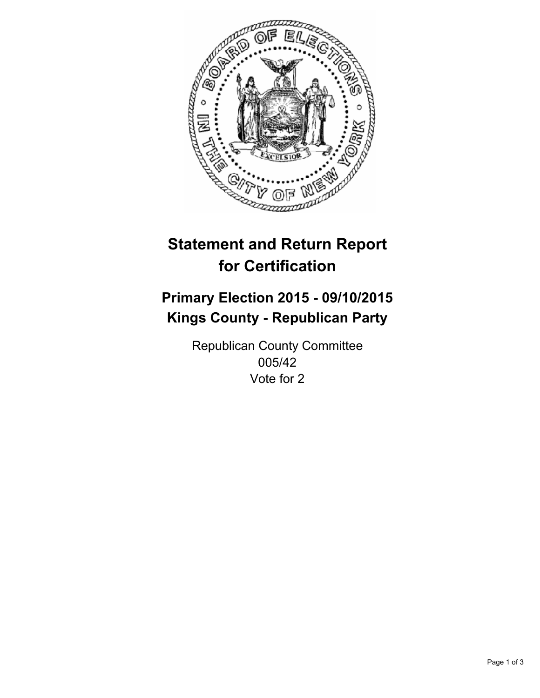

# **Statement and Return Report for Certification**

## **Primary Election 2015 - 09/10/2015 Kings County - Republican Party**

Republican County Committee 005/42 Vote for 2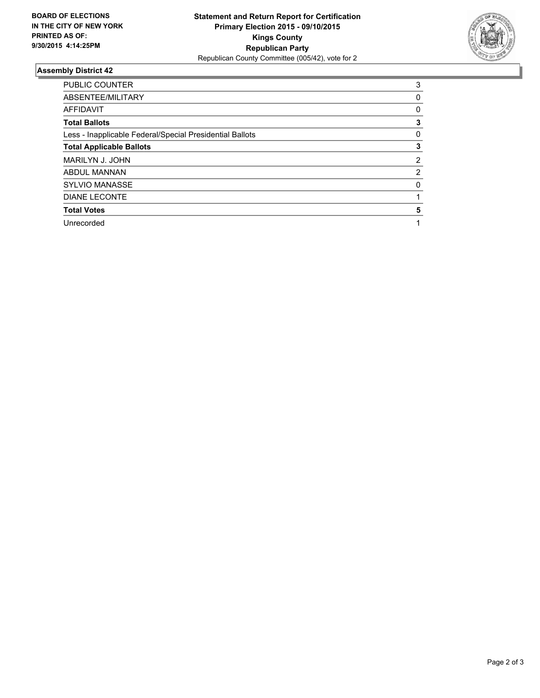

### **Assembly District 42**

| <b>PUBLIC COUNTER</b>                                    | 3 |
|----------------------------------------------------------|---|
| ABSENTEE/MILITARY                                        | 0 |
| <b>AFFIDAVIT</b>                                         | 0 |
| <b>Total Ballots</b>                                     | 3 |
| Less - Inapplicable Federal/Special Presidential Ballots | 0 |
| <b>Total Applicable Ballots</b>                          | 3 |
| MARILYN J. JOHN                                          | 2 |
| <b>ABDUL MANNAN</b>                                      | 2 |
| <b>SYLVIO MANASSE</b>                                    | 0 |
| <b>DIANE LECONTE</b>                                     |   |
| <b>Total Votes</b>                                       | 5 |
| Unrecorded                                               |   |